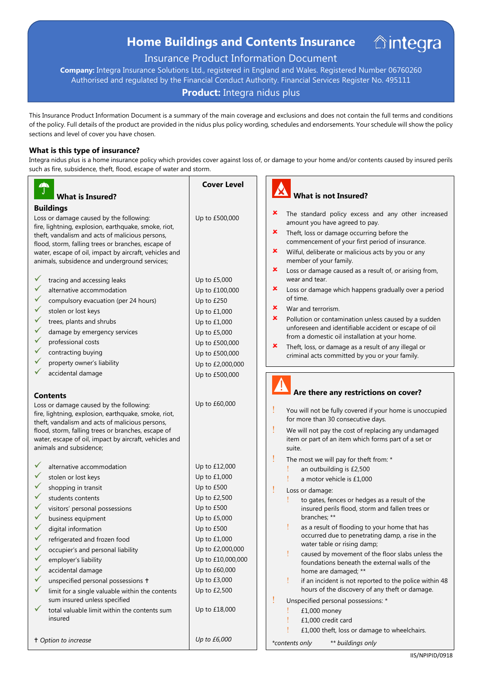# **Home Buildings and Contents Insurance**

# Insurance Product Information Document

**Company:** Integra Insurance Solutions Ltd., registered in England and Wales. Registered Number 06760260 Authorised and regulated by the Financial Conduct Authority. Financial Services Register No. 495111

## **Product:** Integra nidus plus

This Insurance Product Information Document is a summary of the main coverage and exclusions and does not contain the full terms and conditions of the policy. Full details of the product are provided in the nidus plus policy wording, schedules and endorsements. Your schedule will show the policy sections and level of cover you have chosen.

### **What is this type of insurance?**

Integra nidus plus is a home insurance policy which provides cover against loss of, or damage to your home and/or contents caused by insured perils such as fire, subsidence, theft, flood, escape of water and storm.

| $\hat{J}$<br><b>What is Insured?</b>                                                                    | <b>Cover Level</b>               | $\boldsymbol{\mathsf{M}}$<br><b>What is not Insured?</b>                                           |
|---------------------------------------------------------------------------------------------------------|----------------------------------|----------------------------------------------------------------------------------------------------|
| <b>Buildings</b>                                                                                        |                                  |                                                                                                    |
| Loss or damage caused by the following:<br>fire, lightning, explosion, earthquake, smoke, riot,         | Up to £500,000                   | ×<br>The standard policy excess and any other increased<br>amount you have agreed to pay.          |
| theft, vandalism and acts of malicious persons,<br>flood, storm, falling trees or branches, escape of   |                                  | ×<br>Theft, loss or damage occurring before the<br>commencement of your first period of insurance. |
| water, escape of oil, impact by aircraft, vehicles and<br>animals, subsidence and underground services; |                                  | ×<br>Wilful, deliberate or malicious acts by you or any<br>member of your family.                  |
| V.                                                                                                      |                                  | ×<br>Loss or damage caused as a result of, or arising from,<br>wear and tear.                      |
| tracing and accessing leaks<br>✓<br>alternative accommodation                                           | Up to £5,000                     | ×<br>Loss or damage which happens gradually over a period                                          |
|                                                                                                         | Up to £100,000                   | of time.                                                                                           |
| compulsory evacuation (per 24 hours)                                                                    | Up to £250                       | ×<br>War and terrorism.                                                                            |
| stolen or lost keys                                                                                     | Up to £1,000                     | ×<br>Pollution or contamination unless caused by a sudden                                          |
| trees, plants and shrubs                                                                                | Up to £1,000                     | unforeseen and identifiable accident or escape of oil                                              |
| damage by emergency services<br>professional costs                                                      | Up to £5,000                     | from a domestic oil installation at your home.                                                     |
| contracting buying                                                                                      | Up to £500,000<br>Up to £500,000 | ×<br>Theft, loss, or damage as a result of any illegal or                                          |
| property owner's liability                                                                              | Up to £2,000,000                 | criminal acts committed by you or your family.                                                     |
| accidental damage                                                                                       | Up to £500,000                   |                                                                                                    |
|                                                                                                         |                                  |                                                                                                    |
| <b>Contents</b>                                                                                         |                                  | Are there any restrictions on cover?                                                               |
| Loss or damage caused by the following:                                                                 | Up to £60,000                    |                                                                                                    |
| fire, lightning, explosion, earthquake, smoke, riot,                                                    |                                  | You will not be fully covered if your home is unoccupied                                           |
| theft, vandalism and acts of malicious persons,                                                         |                                  | for more than 30 consecutive days.                                                                 |
| flood, storm, falling trees or branches, escape of                                                      |                                  | We will not pay the cost of replacing any undamaged                                                |
| water, escape of oil, impact by aircraft, vehicles and<br>animals and subsidence;                       |                                  | item or part of an item which forms part of a set or<br>suite.                                     |
|                                                                                                         |                                  |                                                                                                    |
| alternative accommodation                                                                               | Up to £12,000                    | The most we will pay for theft from: *<br>an outbuilding is £2,500                                 |
| stolen or lost keys                                                                                     | Up to £1,000                     | a motor vehicle is £1,000                                                                          |
| shopping in transit                                                                                     | Up to £500                       | Loss or damage:                                                                                    |
| students contents                                                                                       | Up to £2,500                     | to gates, fences or hedges as a result of the                                                      |
| visitors' personal possessions                                                                          | Up to £500                       | insured perils flood, storm and fallen trees or                                                    |
| business equipment                                                                                      | Up to £5,000                     | branches; **                                                                                       |
| digital information                                                                                     | Up to £500                       | as a result of flooding to your home that has                                                      |
| refrigerated and frozen food                                                                            | Up to £1,000                     | occurred due to penetrating damp, a rise in the<br>water table or rising damp;                     |
| ✓<br>occupier's and personal liability                                                                  | Up to £2,000,000                 | caused by movement of the floor slabs unless the                                                   |
| $\checkmark$<br>employer's liability                                                                    | Up to £10,000,000                | foundations beneath the external walls of the                                                      |
| ✔<br>accidental damage                                                                                  | Up to £60,000                    | home are damaged; **                                                                               |
| unspecified personal possessions +<br>✔                                                                 | Up to £3,000                     | if an incident is not reported to the police within 48                                             |
| ✓<br>limit for a single valuable within the contents                                                    | Up to £2,500                     | hours of the discovery of any theft or damage.                                                     |
| sum insured unless specified                                                                            |                                  | Unspecified personal possessions: *                                                                |
| total valuable limit within the contents sum<br>insured                                                 | Up to £18,000                    | £1,000 money                                                                                       |
|                                                                                                         |                                  | £1,000 credit card                                                                                 |
| t Option to increase                                                                                    | Up to £6,000                     | £1,000 theft, loss or damage to wheelchairs.                                                       |
|                                                                                                         |                                  | ** buildings only<br>*contents only                                                                |

*<u><u><b>Aintegra</u>*</u>